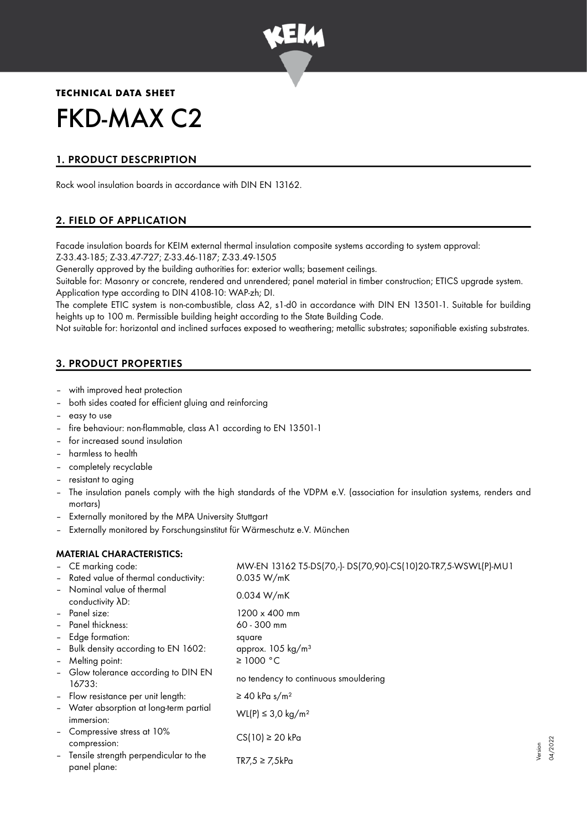

## **TECHNICAL DATA SHEET**

# FKD-MAX C2

## 1. PRODUCT DESCPRIPTION

Rock wool insulation boards in accordance with DIN EN 13162.

## 2. FIELD OF APPLICATION

Facade insulation boards for KEIM external thermal insulation composite systems according to system approval: Z-33.43-185; Z-33.47-727; Z-33.46-1187; Z-33.49-1505

Generally approved by the building authorities for: exterior walls; basement ceilings.

Suitable for: Masonry or concrete, rendered and unrendered; panel material in timber construction; ETICS upgrade system. Application type according to DIN 4108-10: WAP-zh; DI.

The complete ETIC system is non-combustible, class A2, s1-d0 in accordance with DIN EN 13501-1. Suitable for building heights up to 100 m. Permissible building height according to the State Building Code.

Not suitable for: horizontal and inclined surfaces exposed to weathering; metallic substrates; saponifiable existing substrates.

## 3. PRODUCT PROPERTIES

- with improved heat protection
- both sides coated for efficient gluing and reinforcing
- easy to use
- fire behaviour: non-flammable, class A1 according to EN 13501-1
- for increased sound insulation
- harmless to health
- completely recyclable
- resistant to aging
- The insulation panels comply with the high standards of the VDPM e.V. (association for insulation systems, renders and mortars)
- Externally monitored by the MPA University Stuttgart
- Externally monitored by Forschungsinstitut für Wärmeschutz e.V. München

## MATERIAL CHARACTERISTICS:

|                          | - CE marking code:                                    | MW-EN 13162 T5-DS(70,-)-DS(70,90)-CS(10)20-TR7,5-WSWL(P)-MU1 |
|--------------------------|-------------------------------------------------------|--------------------------------------------------------------|
|                          | - Rated value of thermal conductivity:                | 0.035 W/mK                                                   |
|                          | - Nominal value of thermal<br>conductivity AD:        | 0.034 W/mK                                                   |
|                          | - Panel size:                                         | $1200 \times 400$ mm                                         |
| $\overline{\phantom{0}}$ | Panel thickness:                                      | $60 - 300$ mm                                                |
|                          | - Edge formation:                                     | square                                                       |
|                          | - Bulk density according to EN 1602:                  | approx. 105 kg/m <sup>3</sup>                                |
| $\overline{\phantom{a}}$ | Melting point:                                        | $\geq$ 1000 °C                                               |
|                          | - Glow tolerance according to DIN EN<br>16733:        | no tendency to continuous smouldering                        |
|                          | - Flow resistance per unit length:                    | $\geq$ 40 kPa s/m <sup>2</sup>                               |
|                          | - Water absorption at long-term partial<br>immersion: | WL(P) ≤ 3.0 kg/m <sup>2</sup>                                |
| $\overline{\phantom{a}}$ | Compressive stress at 10%<br>compression:             | $CS(10) \ge 20$ kPa                                          |
| $\equiv$                 | Tensile strength perpendicular to the<br>panel plane: | TR7,5 $\geq$ 7,5kPa                                          |

Version 04/2022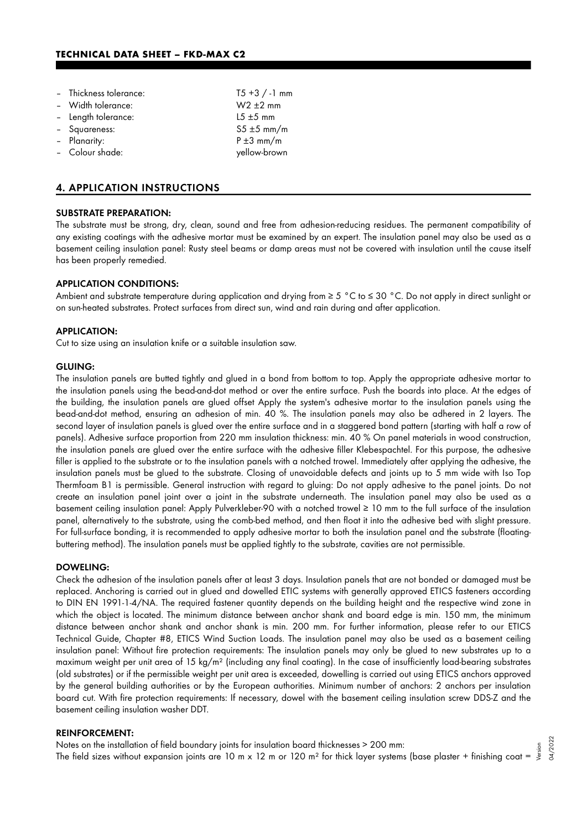| - Thickness tolerance: | $T5 + 3 / -1$ mm |
|------------------------|------------------|
| - Width tolerance:     | $W2 \pm 2$ mm    |
| - Length tolerance:    | $15 \pm 5$ mm    |
| - Squareness:          | $55 \pm 5$ mm/m  |
| - Planarity:           | $P \pm 3$ mm/m   |
| - Colour shade:        | yellow-brown     |

#### 4. APPLICATION INSTRUCTIONS

#### SUBSTRATE PREPARATION:

The substrate must be strong, dry, clean, sound and free from adhesion-reducing residues. The permanent compatibility of any existing coatings with the adhesive mortar must be examined by an expert. The insulation panel may also be used as a basement ceiling insulation panel: Rusty steel beams or damp areas must not be covered with insulation until the cause itself has been properly remedied.

#### APPLICATION CONDITIONS:

Ambient and substrate temperature during application and drying from ≥ 5 °C to ≤ 30 °C. Do not apply in direct sunlight or on sun-heated substrates. Protect surfaces from direct sun, wind and rain during and after application.

#### APPLICATION:

Cut to size using an insulation knife or a suitable insulation saw.

#### GLUING:

The insulation panels are butted tightly and glued in a bond from bottom to top. Apply the appropriate adhesive mortar to the insulation panels using the bead-and-dot method or over the entire surface. Push the boards into place. At the edges of the building, the insulation panels are glued offset Apply the system's adhesive mortar to the insulation panels using the bead-and-dot method, ensuring an adhesion of min. 40 %. The insulation panels may also be adhered in 2 layers. The second layer of insulation panels is glued over the entire surface and in a staggered bond pattern (starting with half a row of panels). Adhesive surface proportion from 220 mm insulation thickness: min. 40 % On panel materials in wood construction, the insulation panels are glued over the entire surface with the adhesive filler Klebespachtel. For this purpose, the adhesive filler is applied to the substrate or to the insulation panels with a notched trowel. Immediately after applying the adhesive, the insulation panels must be glued to the substrate. Closing of unavoidable defects and joints up to 5 mm wide with Iso Top Thermfoam B1 is permissible. General instruction with regard to gluing: Do not apply adhesive to the panel joints. Do not create an insulation panel joint over a joint in the substrate underneath. The insulation panel may also be used as a basement ceiling insulation panel: Apply Pulverkleber-90 with a notched trowel ≥ 10 mm to the full surface of the insulation panel, alternatively to the substrate, using the comb-bed method, and then float it into the adhesive bed with slight pressure. For full-surface bonding, it is recommended to apply adhesive mortar to both the insulation panel and the substrate (floatingbuttering method). The insulation panels must be applied tightly to the substrate, cavities are not permissible.

#### DOWELING:

Check the adhesion of the insulation panels after at least 3 days. Insulation panels that are not bonded or damaged must be replaced. Anchoring is carried out in glued and dowelled ETIC systems with generally approved ETICS fasteners according to DIN EN 1991-1-4/NA. The required fastener quantity depends on the building height and the respective wind zone in which the object is located. The minimum distance between anchor shank and board edge is min. 150 mm, the minimum distance between anchor shank and anchor shank is min. 200 mm. For further information, please refer to our ETICS Technical Guide, Chapter #8, ETICS Wind Suction Loads. The insulation panel may also be used as a basement ceiling insulation panel: Without fire protection requirements: The insulation panels may only be glued to new substrates up to a maximum weight per unit area of 15 kg/m² (including any final coating). In the case of insufficiently load-bearing substrates (old substrates) or if the permissible weight per unit area is exceeded, dowelling is carried out using ETICS anchors approved by the general building authorities or by the European authorities. Minimum number of anchors: 2 anchors per insulation board cut. With fire protection requirements: If necessary, dowel with the basement ceiling insulation screw DDS-Z and the basement ceiling insulation washer DDT.

#### REINFORCEMENT:

Notes on the installation of field boundary joints for insulation board thicknesses > 200 mm: The field sizes without expansion joints are 10 m x 12 m or 120 m<sup>2</sup> for thick layer systems (base plaster + finishing coat = Version 04/2022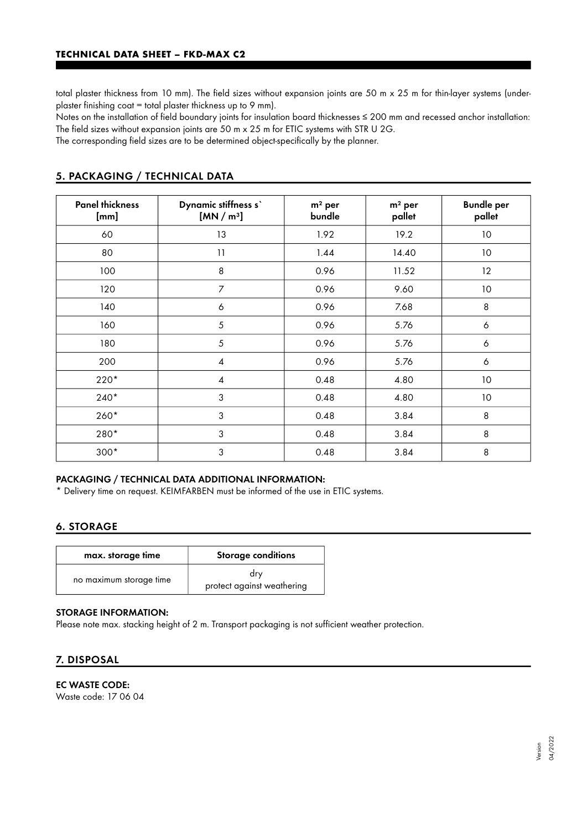total plaster thickness from 10 mm). The field sizes without expansion joints are 50 m x 25 m for thin-layer systems (underplaster finishing coat = total plaster thickness up to 9 mm).

Notes on the installation of field boundary joints for insulation board thicknesses ≤ 200 mm and recessed anchor installation: The field sizes without expansion joints are 50 m x 25 m for ETIC systems with STR U 2G.

The corresponding field sizes are to be determined object-specifically by the planner.

| <b>Panel thickness</b><br>[mm] | Dynamic stiffness s'<br>[MN/m <sup>3</sup> ] | $m2$ per<br>bundle | $m2$ per<br>pallet | <b>Bundle per</b><br>pallet |
|--------------------------------|----------------------------------------------|--------------------|--------------------|-----------------------------|
| 60                             | 13                                           | 1.92               | 19.2               | 10 <sup>°</sup>             |
| 80                             | 11                                           | 1.44               | 14.40              | $10$                        |
| 100                            | 8                                            | 0.96               | 11.52              | $12 \,$                     |
| 120                            | 7                                            | 0.96               | 9.60               | 10                          |
| 140                            | 6                                            | 0.96               | 7.68               | 8                           |
| 160                            | 5                                            | 0.96               | 5.76               | 6                           |
| 180                            | 5                                            | 0.96               | 5.76               | $\boldsymbol{6}$            |
| 200                            | 4                                            | 0.96               | 5.76               | 6                           |
| $220*$                         | $\overline{A}$                               | 0.48               | 4.80               | 10                          |
| $240*$                         | 3                                            | 0.48               | 4.80               | 10                          |
| $260*$                         | 3                                            | 0.48               | 3.84               | 8                           |
| 280*                           | 3                                            | 0.48               | 3.84               | 8                           |
| $300*$                         | 3                                            | 0.48               | 3.84               | 8                           |

## 5. PACKAGING / TECHNICAL DATA

#### PACKAGING / TECHNICAL DATA ADDITIONAL INFORMATION:

\* Delivery time on request. KEIMFARBEN must be informed of the use in ETIC systems.

## 6. STORAGE

| max. storage time       | <b>Storage conditions</b>         |  |
|-------------------------|-----------------------------------|--|
| no maximum storage time | dry<br>protect against weathering |  |

#### STORAGE INFORMATION:

Please note max. stacking height of 2 m. Transport packaging is not sufficient weather protection.

## 7. DISPOSAL

## EC WASTE CODE:

Waste code: 17 06 04